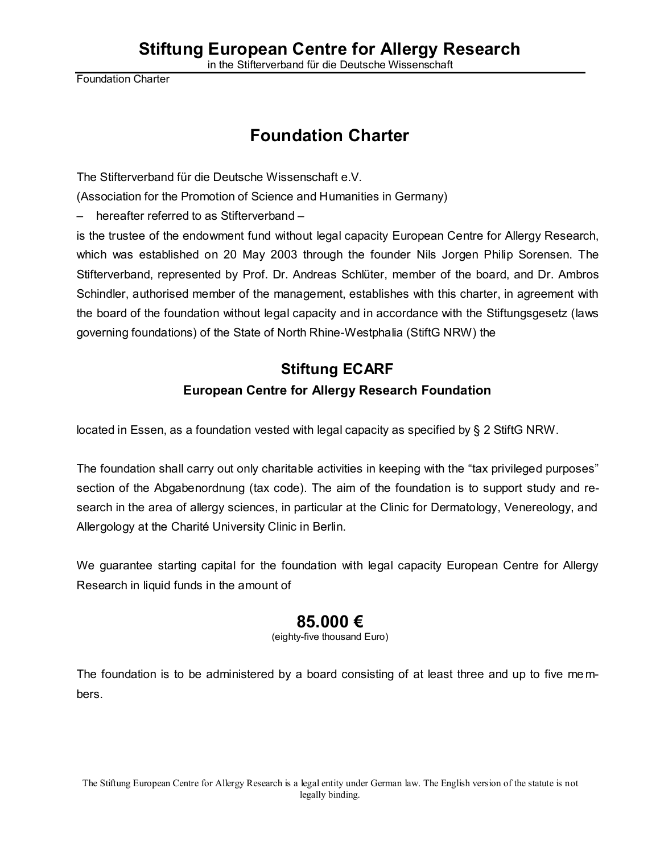Foundation Charter

# **Foundation Charter**

The Stifterverband für die Deutsche Wissenschaft e.V.

(Association for the Promotion of Science and Humanities in Germany)

– hereafter referred to as Stifterverband –

is the trustee of the endowment fund without legal capacity European Centre for Allergy Research, which was established on 20 May 2003 through the founder Nils Jorgen Philip Sorensen. The Stifterverband, represented by Prof. Dr. Andreas Schlüter, member of the board, and Dr. Ambros Schindler, authorised member of the management, establishes with this charter, in agreement with the board of the foundation without legal capacity and in accordance with the Stiftungsgesetz (laws governing foundations) of the State of North Rhine-Westphalia (StiftG NRW) the

# **Stiftung ECARF European Centre for Allergy Research Foundation**

located in Essen, as a foundation vested with legal capacity as specified by § 2 StiftG NRW.

The foundation shall carry out only charitable activities in keeping with the "tax privileged purposes" section of the Abgabenordnung (tax code). The aim of the foundation is to support study and research in the area of allergy sciences, in particular at the Clinic for Dermatology, Venereology, and Allergology at the Charité University Clinic in Berlin.

We guarantee starting capital for the foundation with legal capacity European Centre for Allergy Research in liquid funds in the amount of

# **85.000 €**

(eighty-five thousand Euro)

The foundation is to be administered by a board consisting of at least three and up to five me mbers.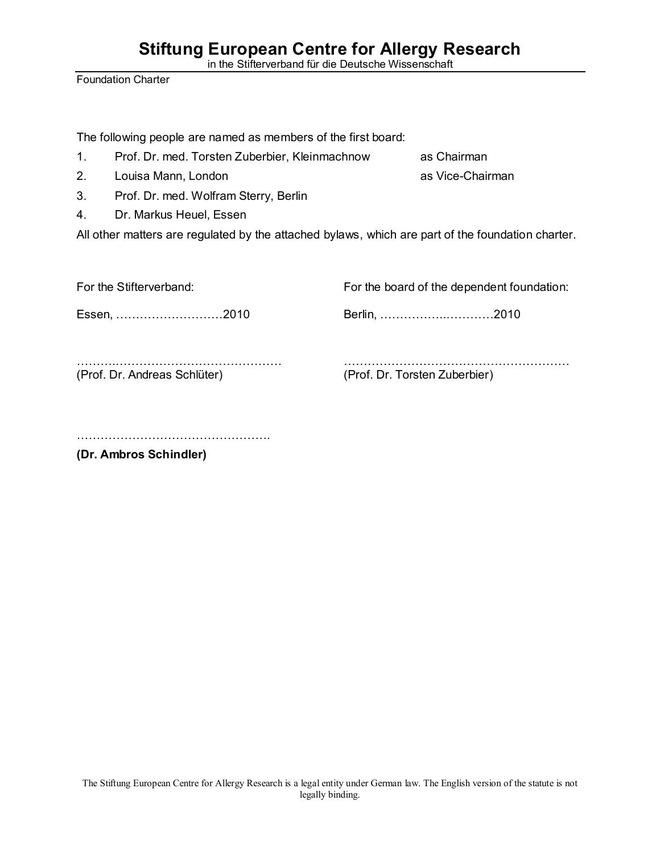in the Stifterverband für die Deutsche Wissenschaft

Foundation Charter

The following people are named as members of the first board:

- 1. Prof. Dr. med. Torsten Zuberbier, Kleinmachnow as Chairman
- 2. Louisa Mann, London as Vice-Chairman
- 3. Prof. Dr. med. Wolfram Sterry, Berlin
- 4. Dr. Markus Heuel, Essen

All other matters are regulated by the attached bylaws, which are part of the foundation charter.

| For the Stifterverband:      | For the board of the dependent foundation: |
|------------------------------|--------------------------------------------|
| Essen, 2010                  | Berlin, 2010                               |
| (Prof. Dr. Andreas Schlüter) | (Prof. Dr. Torsten Zuberbier)              |

………………………………………….

**(Dr. Ambros Schindler)**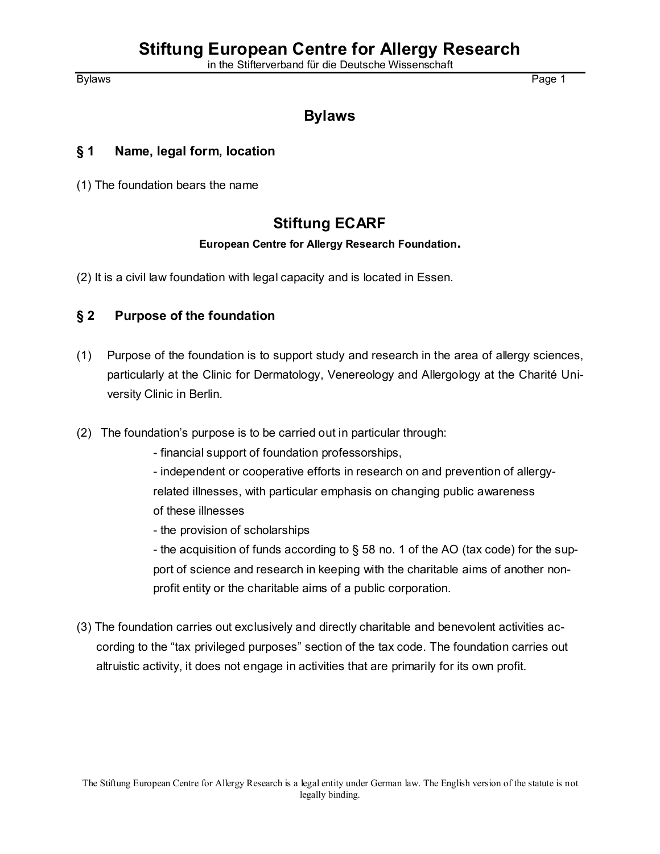# **Stiftung European Centre for Allergy Research**

in the Stifterverband für die Deutsche Wissenschaft

# **Bylaws**

#### **§ 1 Name, legal form, location**

(1) The foundation bears the name

# **Stiftung ECARF**

#### **European Centre for Allergy Research Foundation.**

(2) It is a civil law foundation with legal capacity and is located in Essen.

#### **§ 2 Purpose of the foundation**

- (1) Purpose of the foundation is to support study and research in the area of allergy sciences, particularly at the Clinic for Dermatology, Venereology and Allergology at the Charité University Clinic in Berlin.
- (2) The foundation's purpose is to be carried out in particular through:
	- financial support of foundation professorships,
	- independent or cooperative efforts in research on and prevention of allergyrelated illnesses, with particular emphasis on changing public awareness of these illnesses
	- the provision of scholarships
	- the acquisition of funds according to § 58 no. 1 of the AO (tax code) for the support of science and research in keeping with the charitable aims of another nonprofit entity or the charitable aims of a public corporation.
- (3) The foundation carries out exclusively and directly charitable and benevolent activities according to the "tax privileged purposes" section of the tax code. The foundation carries out altruistic activity, it does not engage in activities that are primarily for its own profit.

Bylaws Page 1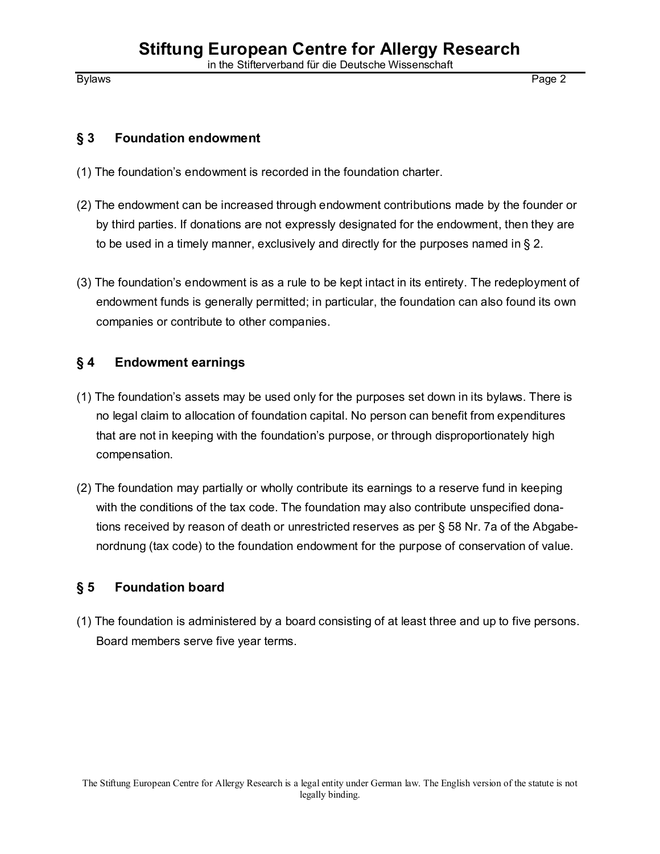#### **§ 3 Foundation endowment**

- (1) The foundation's endowment is recorded in the foundation charter.
- (2) The endowment can be increased through endowment contributions made by the founder or by third parties. If donations are not expressly designated for the endowment, then they are to be used in a timely manner, exclusively and directly for the purposes named in § 2.
- (3) The foundation's endowment is as a rule to be kept intact in its entirety. The redeployment of endowment funds is generally permitted; in particular, the foundation can also found its own companies or contribute to other companies.

## **§ 4 Endowment earnings**

- (1) The foundation's assets may be used only for the purposes set down in its bylaws. There is no legal claim to allocation of foundation capital. No person can benefit from expenditures that are not in keeping with the foundation's purpose, or through disproportionately high compensation.
- (2) The foundation may partially or wholly contribute its earnings to a reserve fund in keeping with the conditions of the tax code. The foundation may also contribute unspecified donations received by reason of death or unrestricted reserves as per § 58 Nr. 7a of the Abgabenordnung (tax code) to the foundation endowment for the purpose of conservation of value.

#### **§ 5 Foundation board**

(1) The foundation is administered by a board consisting of at least three and up to five persons. Board members serve five year terms.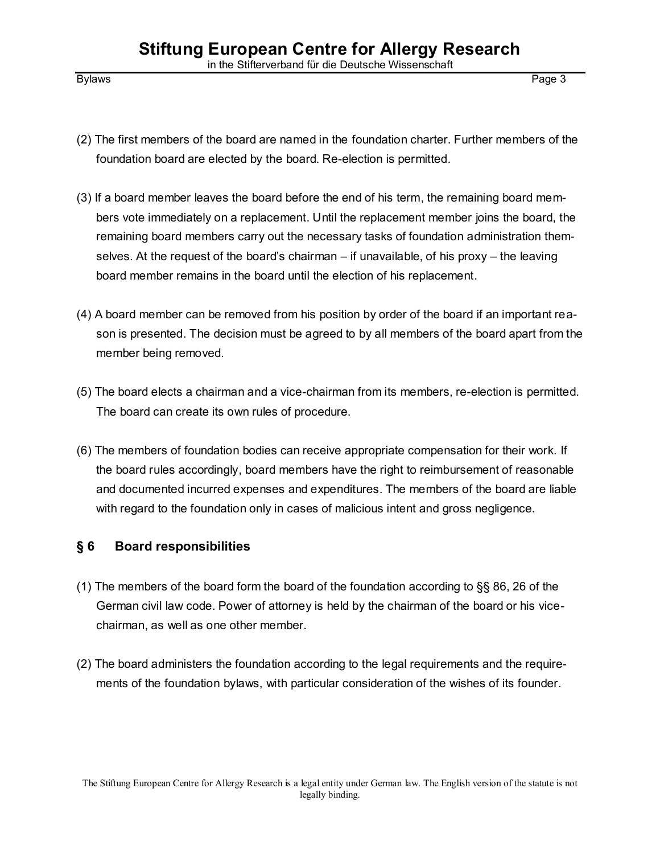- (2) The first members of the board are named in the foundation charter. Further members of the foundation board are elected by the board. Re-election is permitted.
- (3) If a board member leaves the board before the end of his term, the remaining board members vote immediately on a replacement. Until the replacement member joins the board, the remaining board members carry out the necessary tasks of foundation administration themselves. At the request of the board's chairman – if unavailable, of his proxy – the leaving board member remains in the board until the election of his replacement.
- (4) A board member can be removed from his position by order of the board if an important reason is presented. The decision must be agreed to by all members of the board apart from the member being removed.
- (5) The board elects a chairman and a vice-chairman from its members, re-election is permitted. The board can create its own rules of procedure.
- (6) The members of foundation bodies can receive appropriate compensation for their work. If the board rules accordingly, board members have the right to reimbursement of reasonable and documented incurred expenses and expenditures. The members of the board are liable with regard to the foundation only in cases of malicious intent and gross negligence.

## **§ 6 Board responsibilities**

- (1) The members of the board form the board of the foundation according to §§ 86, 26 of the German civil law code. Power of attorney is held by the chairman of the board or his vicechairman, as well as one other member.
- (2) The board administers the foundation according to the legal requirements and the requirements of the foundation bylaws, with particular consideration of the wishes of its founder.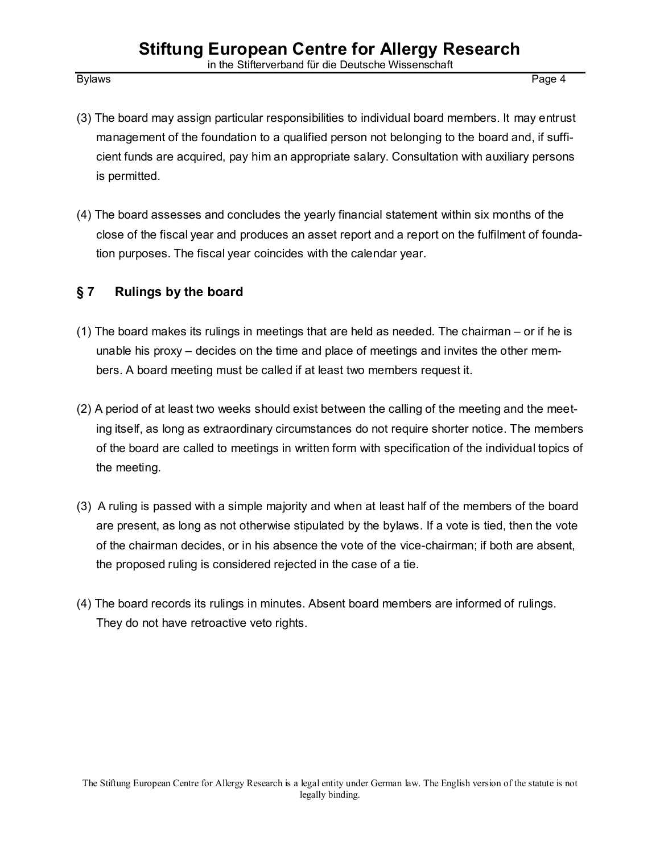- (3) The board may assign particular responsibilities to individual board members. It may entrust management of the foundation to a qualified person not belonging to the board and, if sufficient funds are acquired, pay him an appropriate salary. Consultation with auxiliary persons is permitted.
- (4) The board assesses and concludes the yearly financial statement within six months of the close of the fiscal year and produces an asset report and a report on the fulfilment of foundation purposes. The fiscal year coincides with the calendar year.

## **§ 7 Rulings by the board**

- (1) The board makes its rulings in meetings that are held as needed. The chairman or if he is unable his proxy – decides on the time and place of meetings and invites the other members. A board meeting must be called if at least two members request it.
- (2) A period of at least two weeks should exist between the calling of the meeting and the meeting itself, as long as extraordinary circumstances do not require shorter notice. The members of the board are called to meetings in written form with specification of the individual topics of the meeting.
- (3) A ruling is passed with a simple majority and when at least half of the members of the board are present, as long as not otherwise stipulated by the bylaws. If a vote is tied, then the vote of the chairman decides, or in his absence the vote of the vice-chairman; if both are absent, the proposed ruling is considered rejected in the case of a tie.
- (4) The board records its rulings in minutes. Absent board members are informed of rulings. They do not have retroactive veto rights.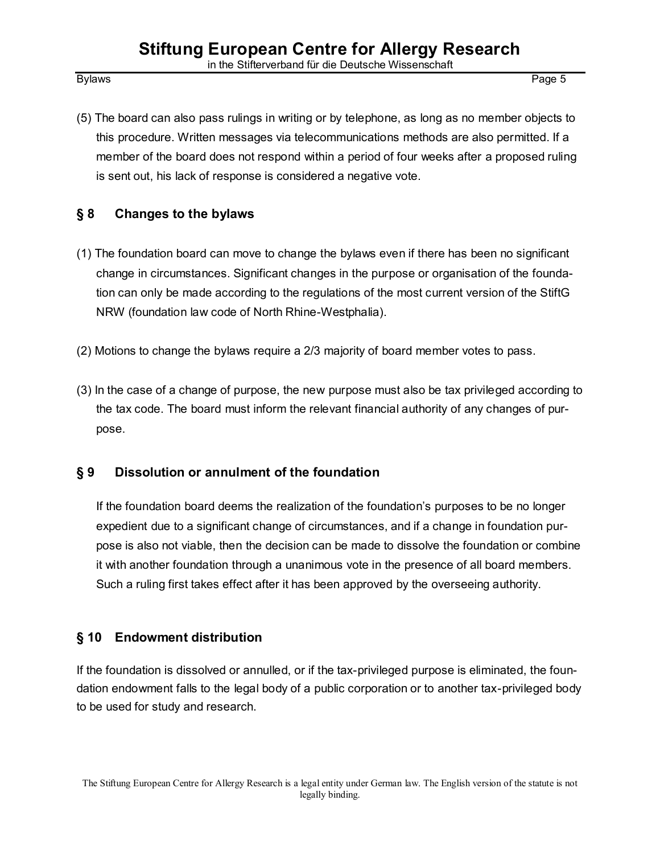(5) The board can also pass rulings in writing or by telephone, as long as no member objects to this procedure. Written messages via telecommunications methods are also permitted. If a member of the board does not respond within a period of four weeks after a proposed ruling is sent out, his lack of response is considered a negative vote.

## **§ 8 Changes to the bylaws**

- (1) The foundation board can move to change the bylaws even if there has been no significant change in circumstances. Significant changes in the purpose or organisation of the foundation can only be made according to the regulations of the most current version of the StiftG NRW (foundation law code of North Rhine-Westphalia).
- (2) Motions to change the bylaws require a 2/3 majority of board member votes to pass.
- (3) In the case of a change of purpose, the new purpose must also be tax privileged according to the tax code. The board must inform the relevant financial authority of any changes of purpose.

# **§ 9 Dissolution or annulment of the foundation**

If the foundation board deems the realization of the foundation's purposes to be no longer expedient due to a significant change of circumstances, and if a change in foundation purpose is also not viable, then the decision can be made to dissolve the foundation or combine it with another foundation through a unanimous vote in the presence of all board members. Such a ruling first takes effect after it has been approved by the overseeing authority.

# **§ 10 Endowment distribution**

If the foundation is dissolved or annulled, or if the tax-privileged purpose is eliminated, the foundation endowment falls to the legal body of a public corporation or to another tax-privileged body to be used for study and research.